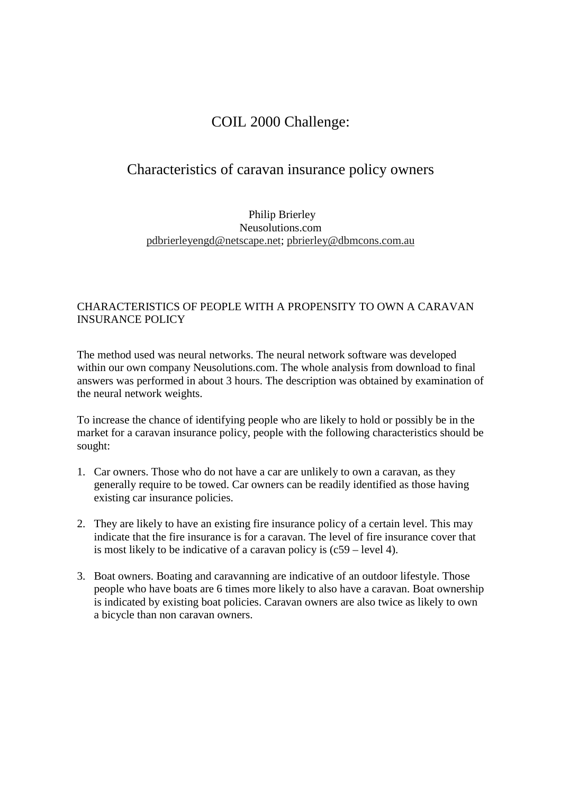## COIL 2000 Challenge:

## Characteristics of caravan insurance policy owners

## Philip Brierley Neusolutions.com pdbrierleyengd@netscape.net; pbrierley@dbmcons.com.au

## CHARACTERISTICS OF PEOPLE WITH A PROPENSITY TO OWN A CARAVAN INSURANCE POLICY

The method used was neural networks. The neural network software was developed within our own company Neusolutions.com. The whole analysis from download to final answers was performed in about 3 hours. The description was obtained by examination of the neural network weights.

To increase the chance of identifying people who are likely to hold or possibly be in the market for a caravan insurance policy, people with the following characteristics should be sought:

- 1. Car owners. Those who do not have a car are unlikely to own a caravan, as they generally require to be towed. Car owners can be readily identified as those having existing car insurance policies.
- 2. They are likely to have an existing fire insurance policy of a certain level. This may indicate that the fire insurance is for a caravan. The level of fire insurance cover that is most likely to be indicative of a caravan policy is (c59 – level 4).
- 3. Boat owners. Boating and caravanning are indicative of an outdoor lifestyle. Those people who have boats are 6 times more likely to also have a caravan. Boat ownership is indicated by existing boat policies. Caravan owners are also twice as likely to own a bicycle than non caravan owners.